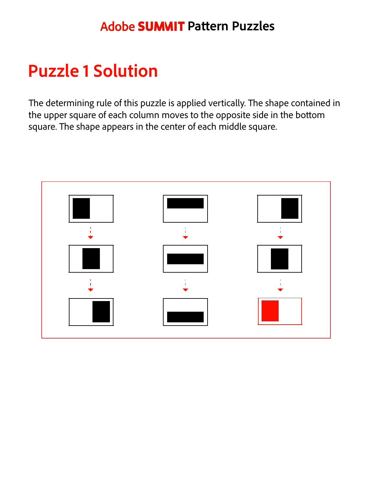### **Adobe SUMMIT Pattern Puzzles**

# **Puzzle 1 Solution**

The determining rule of this puzzle is applied vertically. The shape contained in the upper square of each column moves to the opposite side in the bottom square. The shape appears in the center of each middle square.

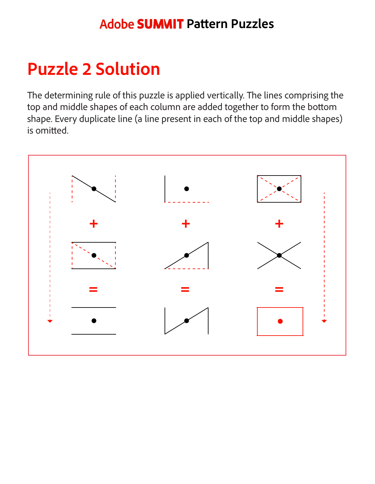#### **Adobe SUMMIT Pattern Puzzles**

# **Puzzle 2 Solution**

The determining rule of this puzzle is applied vertically. The lines comprising the top and middle shapes of each column are added together to form the bottom shape. Every duplicate line (a line present in each of the top and middle shapes) is omitted.